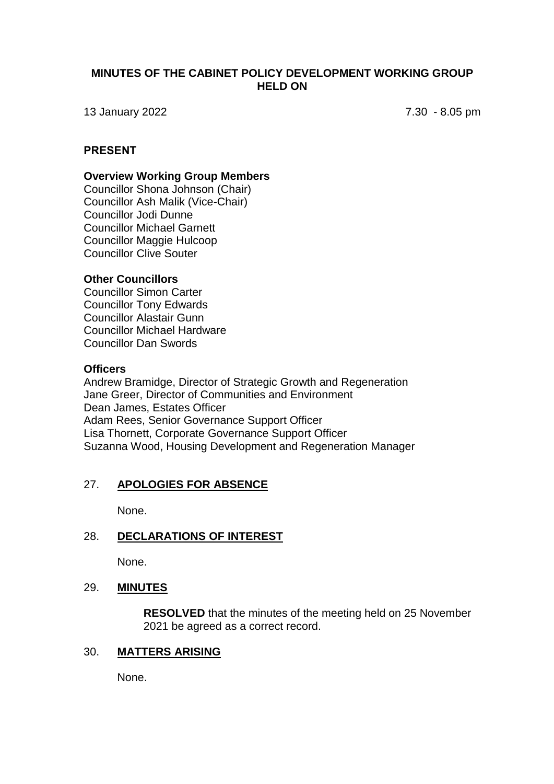## **MINUTES OF THE CABINET POLICY DEVELOPMENT WORKING GROUP HELD ON**

13 January 2022 7.30 - 8.05 pm

#### **PRESENT**

#### **Overview Working Group Members**

Councillor Shona Johnson (Chair) Councillor Ash Malik (Vice-Chair) Councillor Jodi Dunne Councillor Michael Garnett Councillor Maggie Hulcoop Councillor Clive Souter

#### **Other Councillors**

Councillor Simon Carter Councillor Tony Edwards Councillor Alastair Gunn Councillor Michael Hardware Councillor Dan Swords

#### **Officers**

Andrew Bramidge, Director of Strategic Growth and Regeneration Jane Greer, Director of Communities and Environment Dean James, Estates Officer Adam Rees, Senior Governance Support Officer Lisa Thornett, Corporate Governance Support Officer Suzanna Wood, Housing Development and Regeneration Manager

# 27. **APOLOGIES FOR ABSENCE**

None.

#### 28. **DECLARATIONS OF INTEREST**

None.

# 29. **MINUTES**

**RESOLVED** that the minutes of the meeting held on 25 November 2021 be agreed as a correct record.

#### 30. **MATTERS ARISING**

None.